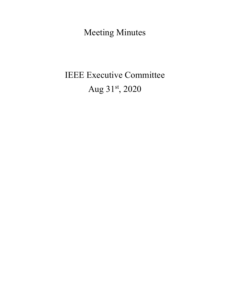Meeting Minutes

# IEEE Executive Committee Aug 31st, 2020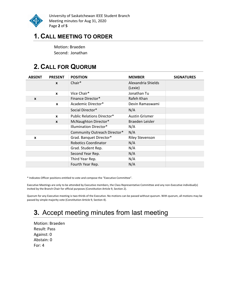

University of Saskatchewan IEEE Student Branch Meeting minutes for Aug 31, 2020 Page 2 of 5

# 1. CALL MEETING TO ORDER

Motion: Braeden Second: Jonathan

# 2. CALL FOR QUORUM

| <b>ABSENT</b> | <b>PRESENT</b> | <b>POSITION</b>                   | <b>MEMBER</b>          | <b>SIGNATURES</b> |
|---------------|----------------|-----------------------------------|------------------------|-------------------|
|               | $\mathbf{x}$   | Chair*                            | Alexandria Shields     |                   |
|               |                |                                   | (Lexie)                |                   |
|               | $\mathbf{x}$   | Vice Chair*                       | Jonathan Tu            |                   |
| X             |                | Finance Director*                 | Rafeh Khan             |                   |
|               | X              | Academic Director*                | Devin Ramaswami        |                   |
|               |                | Social Director*                  | N/A                    |                   |
|               | $\mathbf{x}$   | <b>Public Relations Director*</b> | <b>Austin Grismer</b>  |                   |
|               | $\mathbf{x}$   | McNaughton Director*              | Braeden Leisler        |                   |
|               |                | Illumination Director*            | N/A                    |                   |
|               |                | Community Outreach Director*      | N/A                    |                   |
| X             |                | Grad. Banquet Director*           | <b>Riley Stevenson</b> |                   |
|               |                | <b>Robotics Coordinator</b>       | N/A                    |                   |
|               |                | Grad. Student Rep.                | N/A                    |                   |
|               |                | Second Year Rep.                  | N/A                    |                   |
|               |                | Third Year Rep.                   | N/A                    |                   |
|               |                | Fourth Year Rep.                  | N/A                    |                   |

\* Indicates Officer positions entitled to vote and compose the "Executive Committee".

Executive Meetings are only to be attended by Executive members, the Class Representative Committee and any non-Executive individual(s) invited by the Branch Chair for official purposes (Constitution Article 9, Section 2).

Quorum for any Executive meeting is two-thirds of the Executive. No motions can be passed without quorum. With quorum, all motions may be passed by simple majority vote (Constitution Article 9, Section 4).

# 3. Accept meeting minutes from last meeting

Motion: Braeden Result: Pass Against: 0 Abstain: 0 For: 4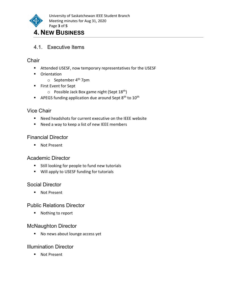

# 4. NEW BUSINESS

4.1. Executive Items

#### **Chair**

- Attended USESF, now temporary representatives for the USESF
- **•** Orientation
	- $\circ$  September 4<sup>th</sup> 7pm
- **First Event for Sept** 
	- $\circ$  Possible Jack Box game night (Sept 18<sup>th</sup>)
- **APEGS funding application due around Sept 8th to 10th**

#### Vice Chair

- Need headshots for current executive on the IEEE website
- Need a way to keep a list of new IEEE members

#### Financial Director

■ Not Present

#### Academic Director

- **Still looking for people to fund new tutorials**
- **Will apply to USESF funding for tutorials**

#### Social Director

**Not Present** 

#### Public Relations Director

■ Nothing to report

#### McNaughton Director

No news about lounge access yet

#### Illumination Director

■ Not Present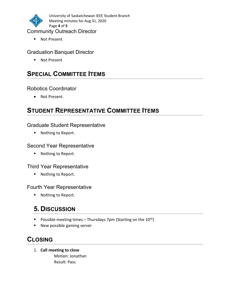

University of Saskatchewan IEEE Student Branch Meeting minutes for Aug 31, 2020 Page 4 of 5

#### Community Outreach Director

■ Not Present

#### Graduation Banquet Director

■ Not Present

# **SPECIAL COMMITTEE ITEMS**

#### Robotics Coordinator

Not Present.

# STUDENT REPRESENTATIVE COMMITTEE ITEMS

#### Graduate Student Representative

■ Nothing to Report.

#### Second Year Representative

■ Nothing to Report.

#### Third Year Representative

■ Nothing to Report.

#### Fourth Year Representative

■ Nothing to Report.

# 5. DISCUSSION

- Possible meeting times Thursdays 7pm (Starting on the  $10^{th}$ )
- New possible gaming server

# CLOSING

1. Call meeting to close Motion: Jonathan Result: Pass